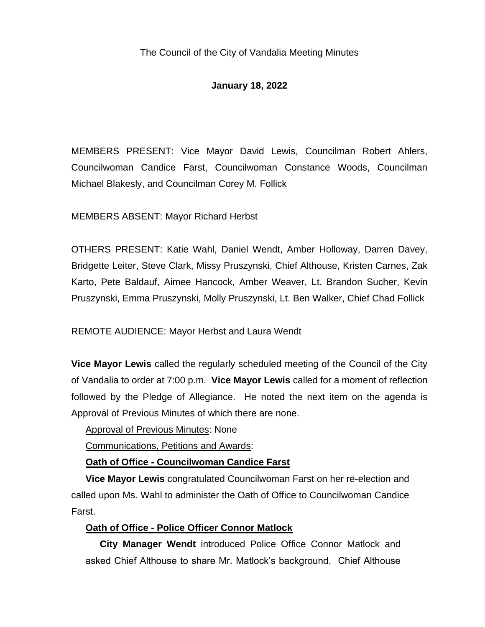# **January 18, 2022**

MEMBERS PRESENT: Vice Mayor David Lewis, Councilman Robert Ahlers, Councilwoman Candice Farst, Councilwoman Constance Woods, Councilman Michael Blakesly, and Councilman Corey M. Follick

MEMBERS ABSENT: Mayor Richard Herbst

OTHERS PRESENT: Katie Wahl, Daniel Wendt, Amber Holloway, Darren Davey, Bridgette Leiter, Steve Clark, Missy Pruszynski, Chief Althouse, Kristen Carnes, Zak Karto, Pete Baldauf, Aimee Hancock, Amber Weaver, Lt. Brandon Sucher, Kevin Pruszynski, Emma Pruszynski, Molly Pruszynski, Lt. Ben Walker, Chief Chad Follick

REMOTE AUDIENCE: Mayor Herbst and Laura Wendt

**Vice Mayor Lewis** called the regularly scheduled meeting of the Council of the City of Vandalia to order at 7:00 p.m. **Vice Mayor Lewis** called for a moment of reflection followed by the Pledge of Allegiance. He noted the next item on the agenda is Approval of Previous Minutes of which there are none.

Approval of Previous Minutes: None

Communications, Petitions and Awards:

# **Oath of Office - Councilwoman Candice Farst**

**Vice Mayor Lewis** congratulated Councilwoman Farst on her re-election and called upon Ms. Wahl to administer the Oath of Office to Councilwoman Candice Farst.

# **Oath of Office - Police Officer Connor Matlock**

**City Manager Wendt** introduced Police Office Connor Matlock and asked Chief Althouse to share Mr. Matlock's background. Chief Althouse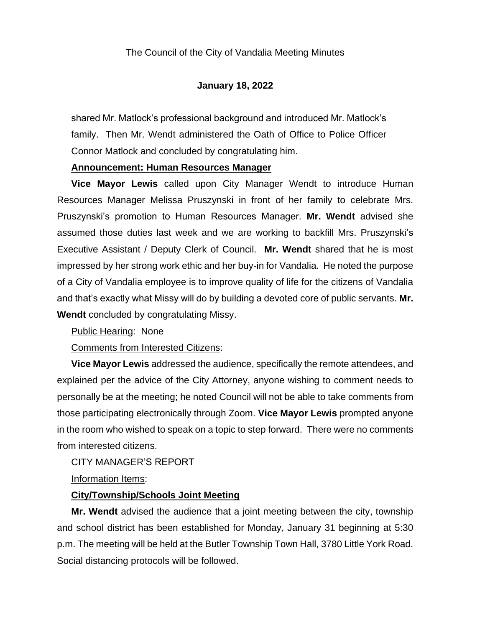shared Mr. Matlock's professional background and introduced Mr. Matlock's family. Then Mr. Wendt administered the Oath of Office to Police Officer Connor Matlock and concluded by congratulating him.

#### **Announcement: Human Resources Manager**

**Vice Mayor Lewis** called upon City Manager Wendt to introduce Human Resources Manager Melissa Pruszynski in front of her family to celebrate Mrs. Pruszynski's promotion to Human Resources Manager. **Mr. Wendt** advised she assumed those duties last week and we are working to backfill Mrs. Pruszynski's Executive Assistant / Deputy Clerk of Council. **Mr. Wendt** shared that he is most impressed by her strong work ethic and her buy-in for Vandalia. He noted the purpose of a City of Vandalia employee is to improve quality of life for the citizens of Vandalia and that's exactly what Missy will do by building a devoted core of public servants. **Mr. Wendt** concluded by congratulating Missy.

Public Hearing: None

Comments from Interested Citizens:

**Vice Mayor Lewis** addressed the audience, specifically the remote attendees, and explained per the advice of the City Attorney, anyone wishing to comment needs to personally be at the meeting; he noted Council will not be able to take comments from those participating electronically through Zoom. **Vice Mayor Lewis** prompted anyone in the room who wished to speak on a topic to step forward. There were no comments from interested citizens.

# CITY MANAGER'S REPORT

Information Items:

# **City/Township/Schools Joint Meeting**

**Mr. Wendt** advised the audience that a joint meeting between the city, township and school district has been established for Monday, January 31 beginning at 5:30 p.m. The meeting will be held at the Butler Township Town Hall, 3780 Little York Road. Social distancing protocols will be followed.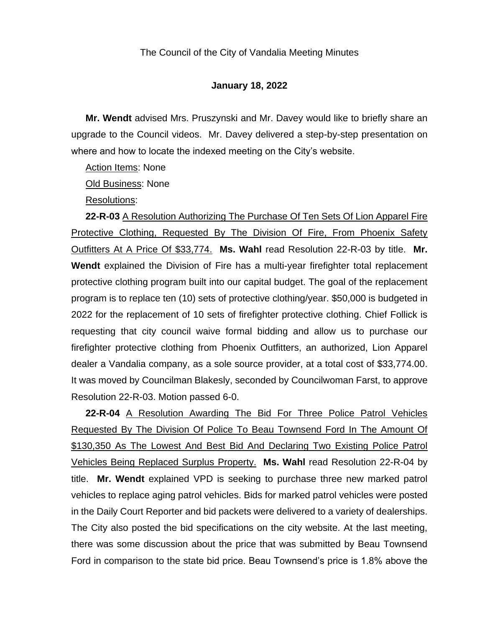**Mr. Wendt** advised Mrs. Pruszynski and Mr. Davey would like to briefly share an upgrade to the Council videos. Mr. Davey delivered a step-by-step presentation on where and how to locate the indexed meeting on the City's website.

Action Items: None

Old Business: None

Resolutions:

**22-R-03** A Resolution Authorizing The Purchase Of Ten Sets Of Lion Apparel Fire Protective Clothing, Requested By The Division Of Fire, From Phoenix Safety Outfitters At A Price Of \$33,774. **Ms. Wahl** read Resolution 22-R-03 by title. **Mr. Wendt** explained the Division of Fire has a multi-year firefighter total replacement protective clothing program built into our capital budget. The goal of the replacement program is to replace ten (10) sets of protective clothing/year. \$50,000 is budgeted in 2022 for the replacement of 10 sets of firefighter protective clothing. Chief Follick is requesting that city council waive formal bidding and allow us to purchase our firefighter protective clothing from Phoenix Outfitters, an authorized, Lion Apparel dealer a Vandalia company, as a sole source provider, at a total cost of \$33,774.00. It was moved by Councilman Blakesly, seconded by Councilwoman Farst, to approve Resolution 22-R-03. Motion passed 6-0.

**22-R-04** A Resolution Awarding The Bid For Three Police Patrol Vehicles Requested By The Division Of Police To Beau Townsend Ford In The Amount Of \$130,350 As The Lowest And Best Bid And Declaring Two Existing Police Patrol Vehicles Being Replaced Surplus Property. **Ms. Wahl** read Resolution 22-R-04 by title. **Mr. Wendt** explained VPD is seeking to purchase three new marked patrol vehicles to replace aging patrol vehicles. Bids for marked patrol vehicles were posted in the Daily Court Reporter and bid packets were delivered to a variety of dealerships. The City also posted the bid specifications on the city website. At the last meeting, there was some discussion about the price that was submitted by Beau Townsend Ford in comparison to the state bid price. Beau Townsend's price is 1.8% above the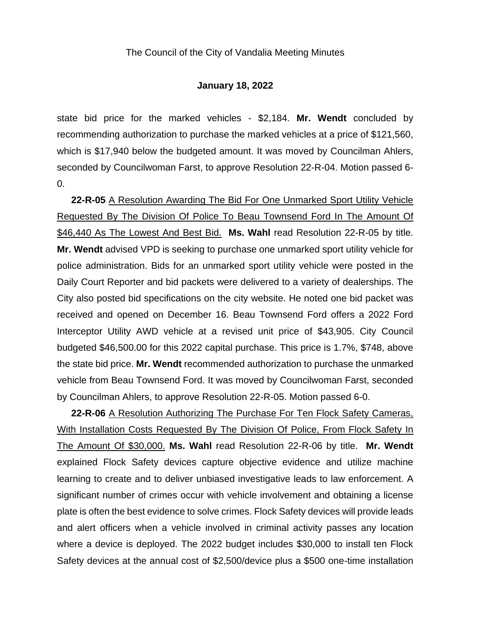state bid price for the marked vehicles - \$2,184. **Mr. Wendt** concluded by recommending authorization to purchase the marked vehicles at a price of \$121,560, which is \$17,940 below the budgeted amount. It was moved by Councilman Ahlers, seconded by Councilwoman Farst, to approve Resolution 22-R-04. Motion passed 6- 0.

**22-R-05** A Resolution Awarding The Bid For One Unmarked Sport Utility Vehicle Requested By The Division Of Police To Beau Townsend Ford In The Amount Of \$46,440 As The Lowest And Best Bid. **Ms. Wahl** read Resolution 22-R-05 by title. **Mr. Wendt** advised VPD is seeking to purchase one unmarked sport utility vehicle for police administration. Bids for an unmarked sport utility vehicle were posted in the Daily Court Reporter and bid packets were delivered to a variety of dealerships. The City also posted bid specifications on the city website. He noted one bid packet was received and opened on December 16. Beau Townsend Ford offers a 2022 Ford Interceptor Utility AWD vehicle at a revised unit price of \$43,905. City Council budgeted \$46,500.00 for this 2022 capital purchase. This price is 1.7%, \$748, above the state bid price. **Mr. Wendt** recommended authorization to purchase the unmarked vehicle from Beau Townsend Ford. It was moved by Councilwoman Farst, seconded by Councilman Ahlers, to approve Resolution 22-R-05. Motion passed 6-0.

**22-R-06** A Resolution Authorizing The Purchase For Ten Flock Safety Cameras, With Installation Costs Requested By The Division Of Police, From Flock Safety In The Amount Of \$30,000. **Ms. Wahl** read Resolution 22-R-06 by title. **Mr. Wendt** explained Flock Safety devices capture objective evidence and utilize machine learning to create and to deliver unbiased investigative leads to law enforcement. A significant number of crimes occur with vehicle involvement and obtaining a license plate is often the best evidence to solve crimes. Flock Safety devices will provide leads and alert officers when a vehicle involved in criminal activity passes any location where a device is deployed. The 2022 budget includes \$30,000 to install ten Flock Safety devices at the annual cost of \$2,500/device plus a \$500 one-time installation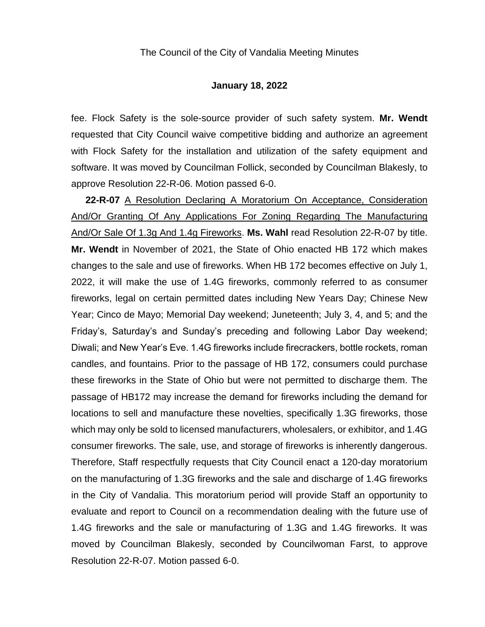fee. Flock Safety is the sole-source provider of such safety system. **Mr. Wendt** requested that City Council waive competitive bidding and authorize an agreement with Flock Safety for the installation and utilization of the safety equipment and software. It was moved by Councilman Follick, seconded by Councilman Blakesly, to approve Resolution 22-R-06. Motion passed 6-0.

**22-R-07** A Resolution Declaring A Moratorium On Acceptance, Consideration And/Or Granting Of Any Applications For Zoning Regarding The Manufacturing And/Or Sale Of 1.3g And 1.4g Fireworks. **Ms. Wahl** read Resolution 22-R-07 by title. **Mr. Wendt** in November of 2021, the State of Ohio enacted HB 172 which makes changes to the sale and use of fireworks. When HB 172 becomes effective on July 1, 2022, it will make the use of 1.4G fireworks, commonly referred to as consumer fireworks, legal on certain permitted dates including New Years Day; Chinese New Year; Cinco de Mayo; Memorial Day weekend; Juneteenth; July 3, 4, and 5; and the Friday's, Saturday's and Sunday's preceding and following Labor Day weekend; Diwali; and New Year's Eve. 1.4G fireworks include firecrackers, bottle rockets, roman candles, and fountains. Prior to the passage of HB 172, consumers could purchase these fireworks in the State of Ohio but were not permitted to discharge them. The passage of HB172 may increase the demand for fireworks including the demand for locations to sell and manufacture these novelties, specifically 1.3G fireworks, those which may only be sold to licensed manufacturers, wholesalers, or exhibitor, and 1.4G consumer fireworks. The sale, use, and storage of fireworks is inherently dangerous. Therefore, Staff respectfully requests that City Council enact a 120-day moratorium on the manufacturing of 1.3G fireworks and the sale and discharge of 1.4G fireworks in the City of Vandalia. This moratorium period will provide Staff an opportunity to evaluate and report to Council on a recommendation dealing with the future use of 1.4G fireworks and the sale or manufacturing of 1.3G and 1.4G fireworks. It was moved by Councilman Blakesly, seconded by Councilwoman Farst, to approve Resolution 22-R-07. Motion passed 6-0.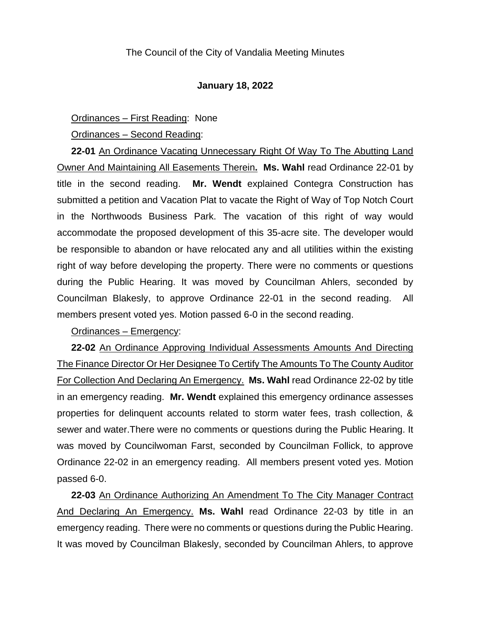#### Ordinances – First Reading: None

Ordinances – Second Reading:

**22-01** An Ordinance Vacating Unnecessary Right Of Way To The Abutting Land Owner And Maintaining All Easements Therein**. Ms. Wahl** read Ordinance 22-01 by title in the second reading. **Mr. Wendt** explained Contegra Construction has submitted a petition and Vacation Plat to vacate the Right of Way of Top Notch Court in the Northwoods Business Park. The vacation of this right of way would accommodate the proposed development of this 35-acre site. The developer would be responsible to abandon or have relocated any and all utilities within the existing right of way before developing the property. There were no comments or questions during the Public Hearing. It was moved by Councilman Ahlers, seconded by Councilman Blakesly, to approve Ordinance 22-01 in the second reading. All members present voted yes. Motion passed 6-0 in the second reading.

#### Ordinances – Emergency:

**22-02** An Ordinance Approving Individual Assessments Amounts And Directing The Finance Director Or Her Designee To Certify The Amounts To The County Auditor For Collection And Declaring An Emergency. **Ms. Wahl** read Ordinance 22-02 by title in an emergency reading. **Mr. Wendt** explained this emergency ordinance assesses properties for delinquent accounts related to storm water fees, trash collection, & sewer and water.There were no comments or questions during the Public Hearing. It was moved by Councilwoman Farst, seconded by Councilman Follick, to approve Ordinance 22-02 in an emergency reading. All members present voted yes. Motion passed 6-0.

**22-03** An Ordinance Authorizing An Amendment To The City Manager Contract And Declaring An Emergency. **Ms. Wahl** read Ordinance 22-03 by title in an emergency reading. There were no comments or questions during the Public Hearing. It was moved by Councilman Blakesly, seconded by Councilman Ahlers, to approve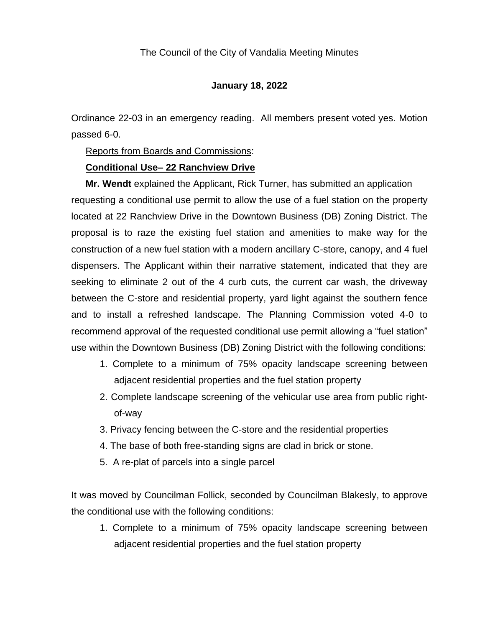Ordinance 22-03 in an emergency reading. All members present voted yes. Motion passed 6-0.

#### Reports from Boards and Commissions:

#### **Conditional Use– 22 Ranchview Drive**

**Mr. Wendt** explained the Applicant, Rick Turner, has submitted an application requesting a conditional use permit to allow the use of a fuel station on the property located at 22 Ranchview Drive in the Downtown Business (DB) Zoning District. The proposal is to raze the existing fuel station and amenities to make way for the construction of a new fuel station with a modern ancillary C-store, canopy, and 4 fuel dispensers. The Applicant within their narrative statement, indicated that they are seeking to eliminate 2 out of the 4 curb cuts, the current car wash, the driveway between the C-store and residential property, yard light against the southern fence and to install a refreshed landscape. The Planning Commission voted 4-0 to recommend approval of the requested conditional use permit allowing a "fuel station" use within the Downtown Business (DB) Zoning District with the following conditions:

- 1. Complete to a minimum of 75% opacity landscape screening between adjacent residential properties and the fuel station property
- 2. Complete landscape screening of the vehicular use area from public rightof-way
- 3. Privacy fencing between the C-store and the residential properties
- 4. The base of both free-standing signs are clad in brick or stone.
- 5. A re-plat of parcels into a single parcel

It was moved by Councilman Follick, seconded by Councilman Blakesly, to approve the conditional use with the following conditions:

1. Complete to a minimum of 75% opacity landscape screening between adjacent residential properties and the fuel station property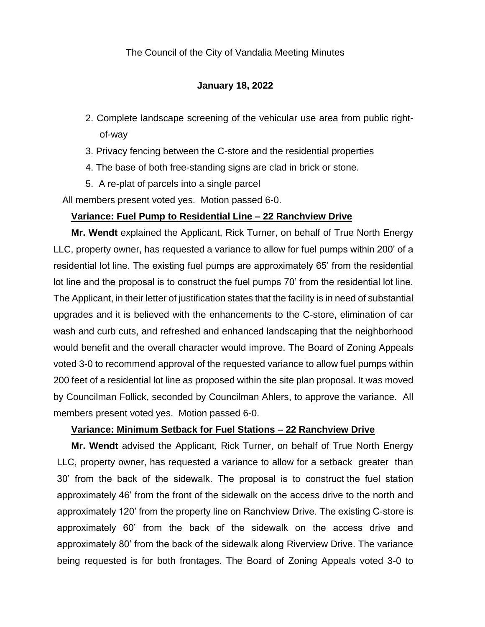## **January 18, 2022**

- 2. Complete landscape screening of the vehicular use area from public rightof-way
- 3. Privacy fencing between the C-store and the residential properties
- 4. The base of both free-standing signs are clad in brick or stone.
- 5. A re-plat of parcels into a single parcel

All members present voted yes. Motion passed 6-0.

#### **Variance: Fuel Pump to Residential Line – 22 Ranchview Drive**

**Mr. Wendt** explained the Applicant, Rick Turner, on behalf of True North Energy LLC, property owner, has requested a variance to allow for fuel pumps within 200' of a residential lot line. The existing fuel pumps are approximately 65' from the residential lot line and the proposal is to construct the fuel pumps 70' from the residential lot line. The Applicant, in their letter of justification states that the facility is in need of substantial upgrades and it is believed with the enhancements to the C-store, elimination of car wash and curb cuts, and refreshed and enhanced landscaping that the neighborhood would benefit and the overall character would improve. The Board of Zoning Appeals voted 3-0 to recommend approval of the requested variance to allow fuel pumps within 200 feet of a residential lot line as proposed within the site plan proposal. It was moved by Councilman Follick, seconded by Councilman Ahlers, to approve the variance. All members present voted yes. Motion passed 6-0.

#### **Variance: Minimum Setback for Fuel Stations – 22 Ranchview Drive**

**Mr. Wendt** advised the Applicant, Rick Turner, on behalf of True North Energy LLC, property owner, has requested a variance to allow for a setback greater than 30' from the back of the sidewalk. The proposal is to construct the fuel station approximately 46' from the front of the sidewalk on the access drive to the north and approximately 120' from the property line on Ranchview Drive. The existing C-store is approximately 60' from the back of the sidewalk on the access drive and approximately 80' from the back of the sidewalk along Riverview Drive. The variance being requested is for both frontages. The Board of Zoning Appeals voted 3-0 to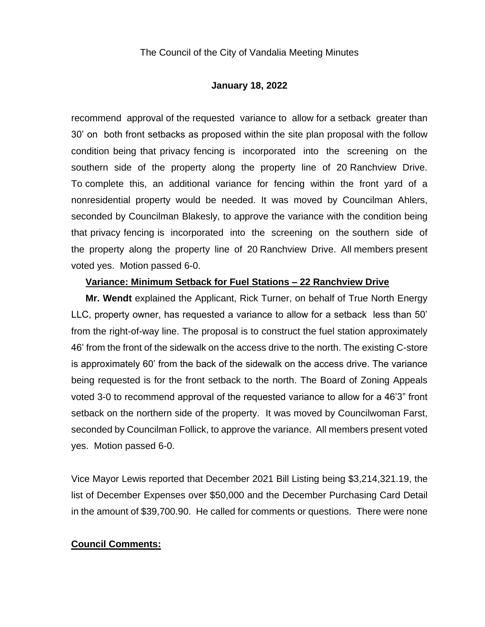#### **January 18, 2022**

recommend approval of the requested variance to allow for a setback greater than 30' on both front setbacks as proposed within the site plan proposal with the follow condition being that privacy fencing is incorporated into the screening on the southern side of the property along the property line of 20 Ranchview Drive. To complete this, an additional variance for fencing within the front yard of a nonresidential property would be needed. It was moved by Councilman Ahlers, seconded by Councilman Blakesly, to approve the variance with the condition being that privacy fencing is incorporated into the screening on the southern side of the property along the property line of 20 Ranchview Drive. All members present voted yes. Motion passed 6-0.

#### **Variance: Minimum Setback for Fuel Stations – 22 Ranchview Drive**

**Mr. Wendt** explained the Applicant, Rick Turner, on behalf of True North Energy LLC, property owner, has requested a variance to allow for a setback less than 50' from the right-of-way line. The proposal is to construct the fuel station approximately 46' from the front of the sidewalk on the access drive to the north. The existing C-store is approximately 60' from the back of the sidewalk on the access drive. The variance being requested is for the front setback to the north. The Board of Zoning Appeals voted 3-0 to recommend approval of the requested variance to allow for a 46'3" front setback on the northern side of the property. It was moved by Councilwoman Farst, seconded by Councilman Follick, to approve the variance. All members present voted yes. Motion passed 6-0.

Vice Mayor Lewis reported that December 2021 Bill Listing being \$3,214,321.19, the list of December Expenses over \$50,000 and the December Purchasing Card Detail in the amount of \$39,700.90. He called for comments or questions. There were none

# **Council Comments:**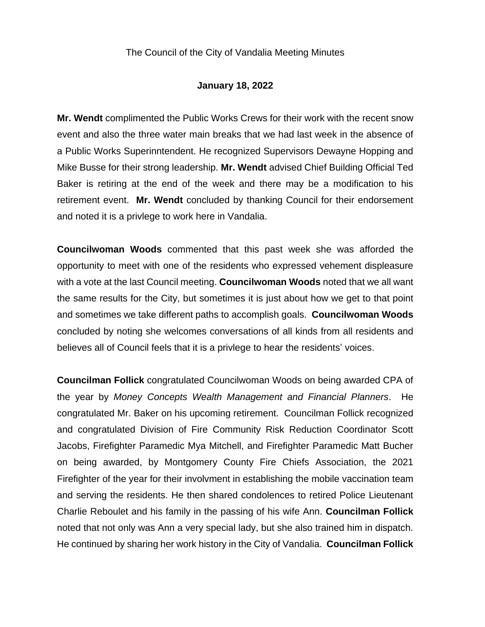## **January 18, 2022**

**Mr. Wendt** complimented the Public Works Crews for their work with the recent snow event and also the three water main breaks that we had last week in the absence of a Public Works Superinntendent. He recognized Supervisors Dewayne Hopping and Mike Busse for their strong leadership. **Mr. Wendt** advised Chief Building Official Ted Baker is retiring at the end of the week and there may be a modification to his retirement event. **Mr. Wendt** concluded by thanking Council for their endorsement and noted it is a privlege to work here in Vandalia.

**Councilwoman Woods** commented that this past week she was afforded the opportunity to meet with one of the residents who expressed vehement displeasure with a vote at the last Council meeting. **Councilwoman Woods** noted that we all want the same results for the City, but sometimes it is just about how we get to that point and sometimes we take different paths to accomplish goals. **Councilwoman Woods** concluded by noting she welcomes conversations of all kinds from all residents and believes all of Council feels that it is a privlege to hear the residents' voices.

**Councilman Follick** congratulated Councilwoman Woods on being awarded CPA of the year by *Money Concepts Wealth Management and Financial Planners*. He congratulated Mr. Baker on his upcoming retirement. Councilman Follick recognized and congratulated Division of Fire Community Risk Reduction Coordinator Scott Jacobs, Firefighter Paramedic Mya Mitchell, and Firefighter Paramedic Matt Bucher on being awarded, by Montgomery County Fire Chiefs Association, the 2021 Firefighter of the year for their involvment in establishing the mobile vaccination team and serving the residents. He then shared condolences to retired Police Lieutenant Charlie Reboulet and his family in the passing of his wife Ann. **Councilman Follick** noted that not only was Ann a very special lady, but she also trained him in dispatch. He continued by sharing her work history in the City of Vandalia. **Councilman Follick**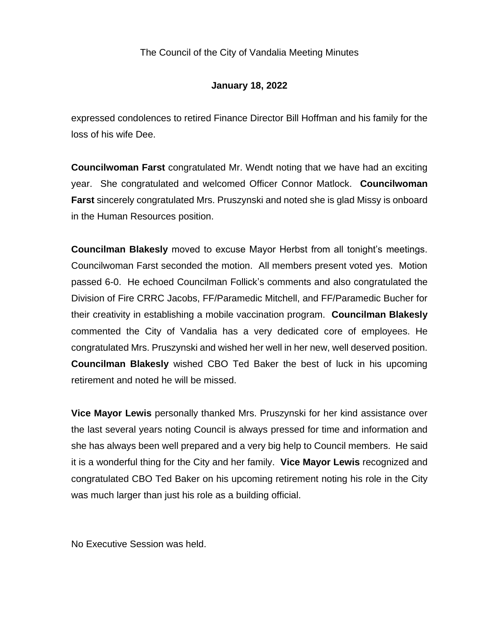# **January 18, 2022**

expressed condolences to retired Finance Director Bill Hoffman and his family for the loss of his wife Dee.

**Councilwoman Farst** congratulated Mr. Wendt noting that we have had an exciting year. She congratulated and welcomed Officer Connor Matlock. **Councilwoman Farst** sincerely congratulated Mrs. Pruszynski and noted she is glad Missy is onboard in the Human Resources position.

**Councilman Blakesly** moved to excuse Mayor Herbst from all tonight's meetings. Councilwoman Farst seconded the motion. All members present voted yes. Motion passed 6-0. He echoed Councilman Follick's comments and also congratulated the Division of Fire CRRC Jacobs, FF/Paramedic Mitchell, and FF/Paramedic Bucher for their creativity in establishing a mobile vaccination program. **Councilman Blakesly** commented the City of Vandalia has a very dedicated core of employees. He congratulated Mrs. Pruszynski and wished her well in her new, well deserved position. **Councilman Blakesly** wished CBO Ted Baker the best of luck in his upcoming retirement and noted he will be missed.

**Vice Mayor Lewis** personally thanked Mrs. Pruszynski for her kind assistance over the last several years noting Council is always pressed for time and information and she has always been well prepared and a very big help to Council members. He said it is a wonderful thing for the City and her family. **Vice Mayor Lewis** recognized and congratulated CBO Ted Baker on his upcoming retirement noting his role in the City was much larger than just his role as a building official.

No Executive Session was held.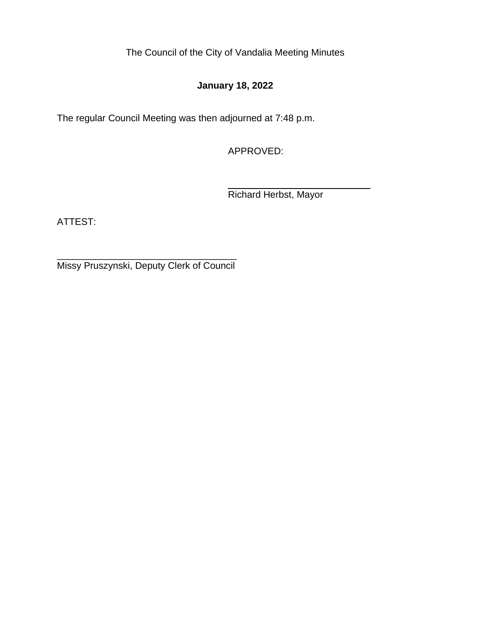# **January 18, 2022**

The regular Council Meeting was then adjourned at 7:48 p.m.

APPROVED:

Richard Herbst, Mayor

ATTEST:

\_\_\_\_\_\_\_\_\_\_\_\_\_\_\_\_\_\_\_\_\_\_\_\_\_\_\_\_\_\_\_\_\_\_ Missy Pruszynski, Deputy Clerk of Council